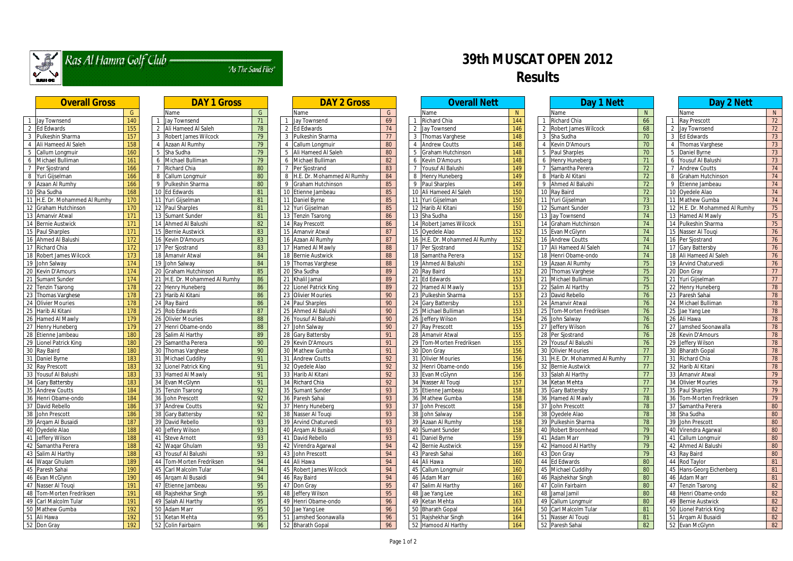

# Ras Al Hamra Golf Club

"As The Sand Flies"

## **39th MUSCAT OPEN 2012 Results**

|                 | <u>UVEI dii 101 USS</u>     |                  |
|-----------------|-----------------------------|------------------|
|                 |                             | G                |
| $\mathbf{1}$    | Jay Townsend                | 140              |
| $\overline{2}$  | <b>Ed Edwards</b>           | 155              |
| 3               | Pulkeshin Sharma            | 157              |
| $\overline{4}$  | Ali Hameed Al Saleh         | 158              |
| $\overline{5}$  | Callum Longmuir             | 160              |
| $\overline{6}$  | Michael Bulliman            | 161              |
| $\overline{7}$  | Per Sjostrand               | 166              |
| 8               | Yuri Gijselman              | 166              |
| 9               | Azaan Al Rumhy              | 166              |
| 10              | Sha Sudha                   | 168              |
| 11              | H.E. Dr. Mohammed Al Rumhy  | 170              |
| 12              | Graham Hutchinson           | $\overline{170}$ |
| 13              | Amanvir Atwal               | 171              |
| 14              | <b>Bernie Austwick</b>      | 171              |
| 15              | Paul Sharples               | 171              |
| 16              | Ahmed Al Balushi            | 172              |
| 17              | Richard Chia                | 172              |
| 18              | <b>Robert James Wilcock</b> | 173              |
| 19              | John Salway                 | 174              |
| 20              | Kevin D'Amours              | 174              |
| 21              | Sumant Sunder               | $\overline{174}$ |
| 22              | <b>Tenzin Tsarong</b>       | 178              |
| 23              | Thomas Varghese             | 178              |
| 24              | <b>Olivier Mouries</b>      | 178              |
| 25              | Harib Al Kitani             | 178              |
| 26              | Hamed Al Mawly              | 179              |
| 27              | Henry Huneberg              | 179              |
| 28              | Etienne Jambeau             | 180              |
| 29              | Lionel Patrick King         | 180              |
| 30              | Ray Baird                   | 180              |
| 31              | Daniel Byrne                | 183              |
| 32              | Ray Prescott                | 183              |
| 33              | Yousuf Al Balushi           | 183              |
| 34              | Gary Battersby              | 183              |
| 35              | <b>Andrew Coutts</b>        | 184              |
| $\overline{36}$ | Henri Obame-ondo            | 184              |
| 37              | David Rebello               | 186              |
| 38              | John Prescott               | 186              |
| 39              | Arqam Al Busaidi            | 187              |
| 40              | Oyedele Alao                | 188              |
| 41              | Jeffery Wilson              | 188              |
| $\overline{42}$ | Samantha Perera             | 188              |
| 43              | Salim Al Harthy             | 188              |
| 44              | Waqar Ghulam                | 189              |
| 45              | Paresh Sahai                | 190              |
| 46              | Evan McGlynn                | 190              |
| 47              | Nasser Al Touqi             | 191              |
| 48              | Tom-Morten Fredriksen       | 191              |
| 49              | Carl Malcolm Tular          | 191              |
| 50              | Mathew Gumba                | 192              |
| 51              | Ali Hawa                    | 192              |
| 52              | Don Gray                    | 192              |
|                 |                             |                  |

|                                      | DAY I Gross                |                 |
|--------------------------------------|----------------------------|-----------------|
| Name                                 |                            | G               |
| 1                                    | Jay Townsend               | $\overline{71}$ |
| $\overline{2}$                       | Ali Hameed Al Saleh        | 78              |
| $\overline{3}$                       | Robert James Wilcock       | 79              |
| $\overline{4}$                       | Azaan Al Rumhy             | $\overline{79}$ |
| 5<br>Sha Sudha                       |                            | $\overline{79}$ |
| 6                                    | Michael Bulliman           | 79              |
| 7                                    | Richard Chia               | 80              |
| $\overline{8}$                       | Callum Longmuir            | 80              |
| 9                                    | Pulkeshin Sharma           | 80              |
| $\overline{10}$<br><b>Ed Edwards</b> |                            | 81              |
| 11                                   | Yuri Gijselman             | 81              |
| 12                                   | Paul Sharples              | 81              |
| $\overline{13}$                      | Sumant Sunder              | 81              |
| 14                                   | Ahmed Al Balushi           | 82              |
| 15                                   | <b>Bernie Austwick</b>     | 83              |
|                                      | <b>Kevin D'Amours</b>      |                 |
| 16                                   |                            | 83<br>83        |
| 17                                   | Per Sjostrand              |                 |
| $\overline{18}$                      | Amanvir Atwal              | 84              |
| 19                                   | John Salway                | 84              |
| 20                                   | Graham Hutchinson          | 85              |
| 21                                   | H.E. Dr. Mohammed Al Rumhy | 86              |
| 22                                   | Henry Huneberg             | 86              |
| 23                                   | Harib Al Kitani            | 86              |
| $\overline{24}$<br>Ray Baird         |                            | 86              |
| 25                                   | Rob Edwards                | 87              |
| 26                                   | <b>Olivier Mouries</b>     | 88              |
| 27                                   | Henri Obame-ondo           | 88              |
| 28                                   | Salim Al Harthy            | 89              |
| 29                                   | Samantha Perera            | 90              |
| 30                                   | Thomas Varghese            | 90              |
| 31                                   | Michael Cuddihy            | 91              |
| $\overline{32}$                      | Lionel Patrick King        | $\overline{91}$ |
| 33                                   | Hamed Al Mawly             | 91              |
| 34                                   | Evan McGlynn               | $\overline{91}$ |
| 35                                   | <b>Tenzin Tsarong</b>      | 92              |
| 36                                   | John Prescott              | 92              |
| 37                                   | <b>Andrew Coutts</b>       | 92              |
| 38                                   | Gary Battersby             | 92              |
| 39                                   | David Rebello              | 93              |
| 40                                   | Jeffery Wilson             | 93              |
| 41                                   | <b>Steve Arnott</b>        |                 |
| 42                                   |                            | 93              |
|                                      | Waqar Ghulam               | 93              |
| 43                                   | Yousuf Al Balushi          | 93              |
| 44                                   | Tom-Morten Fredriksen      | 94              |
| 45                                   | Carl Malcolm Tular         | 94              |
| 46                                   | Argam Al Busaidi           | 94              |
| 47                                   | Etienne Jambeau            | 95              |
| 48                                   | Rajshekhar Singh           | 95              |
| 49                                   | Salah Al Harthy            | 95              |
| 50<br>Adam Marr                      |                            | 95              |
| 51                                   | Ketan Mehta                | 95              |
| 52                                   | Colin Fairbairn            | 96              |

| <b>DAY 1 Gross</b> |                 |    | <b>DAY 2 Gross</b>                  |                 |                | <b>Overall Nett</b>           |     |    | Day 1 Nett                   |
|--------------------|-----------------|----|-------------------------------------|-----------------|----------------|-------------------------------|-----|----|------------------------------|
|                    | G               |    | Name                                | G               |                | Name                          | N   |    | Name                         |
| end                | 71              |    | <b>Jay Townsend</b>                 | 69              |                | <b>Richard Chia</b>           | 144 |    | Richard Chia                 |
| d Al Saleh         | 78              |    | <b>Ed Edwards</b><br>$\overline{2}$ | 74              | $\overline{2}$ | Jay Townsend                  | 146 |    | 2 Robert James Wilcock       |
| es Wilcock         | 79              |    | Pulkeshin Sharma<br>3               | 77              | 3              | Thomas Varghese               | 148 |    | 3 Sha Sudha                  |
| umhy               | 79              | 4  | Callum Longmuir                     | 80              | $\overline{4}$ | <b>Andrew Coutts</b>          | 148 | 4  | Kevin D'Amours               |
|                    | 79              | 5  | Ali Hameed Al Saleh                 | 80              | 5              | Graham Hutchinson             | 148 | 5  | Paul Sharples                |
| ılliman            | 79              | 6  | Michael Bulliman                    | 82              | 6              | Kevin D'Amours                | 148 | 6  | <b>Henry Huneberg</b>        |
| ia                 | 80              | 7  | Per Sjostrand                       | 83              | 7              | Yousuf Al Balushi             | 149 |    | Samantha Perera              |
| ıgmuir             | 80              | 8  | H.E. Dr. Mohammed Al Rumhy          | 84              | 8              | Henry Huneberg                | 149 | 8  | Harib Al Kitani              |
| Sharma             | 80              | 9  | Graham Hutchinson                   | 85              | 9              | <b>Paul Sharples</b>          | 149 | 9  | Ahmed Al Balushi             |
| S                  | 81              |    | Etienne Jambeau<br>10               | 85              | 10             | Ali Hameed Al Saleh           | 150 |    | 10 Ray Baird                 |
| nan                | 81              |    | 11 Daniel Byrne                     | 85              | 11             | Yuri Gijselman                | 150 |    | 11 Yuri Gijselman            |
| les                | 81              |    | 12 Yuri Gijselman                   | 85              | 12             | Harib Al Kitani               | 150 |    | 12 Sumant Sunder             |
| nder               | 81              |    | 13 Tenzin Tsarong                   | 86              | 13             | Sha Sudha                     | 150 |    | 13 Jay Townsend              |
| 3alushi            | 82              |    | 14 Ray Prescott                     | 86              | 14             | Robert James Wilcock          | 151 |    | 14 Graham Hutchinson         |
| twick              | 83              |    | 15 Amanvir Atwal                    | 87              | 15             | Oyedele Alao                  | 152 |    | 15 Evan McGlynn              |
| ours               | 83              |    | 16 Azaan Al Rumhy                   | 87              |                | 16 H.E. Dr. Mohammed Al Rumhy | 152 |    | 16 Andrew Coutts             |
| nd                 | 83              |    | 17 Hamed Al Mawly                   | 88              | 17             | Per Sjostrand                 | 152 |    | 17 Ali Hameed Al Saleh       |
| twal               | 84              |    | 18 Bernie Austwick                  | 88              | 18             | Samantha Perera               | 152 |    | 18 Henri Obame-ondo          |
| ıу                 | 84              |    | 19 Thomas Varghese                  | 88              | 19             | <b>Ahmed Al Balushi</b>       | 152 |    | 19 Azaan Al Rumhy            |
| utchinson          | 85              |    | 20 Sha Sudha                        | 89              | 20             | Ray Baird                     | 152 |    | 20 Thomas Varghese           |
| bhammed Al Rumhy   | 86              | 21 | Khalil Jamal                        | 89              | 21             | <b>Ed Edwards</b>             | 153 | 21 | Michael Bulliman             |
| eberg              | 86              |    | Lionel Patrick King<br>22           | 89              | 22             | Hamed Al Mawly                | 153 | 22 | Salim Al Harthy              |
| tani               | 86              |    | <b>Olivier Mouries</b><br>23        | 90              | 23             | Pulkeshin Sharma              | 153 | 23 | David Rebello                |
|                    | 86              |    | Paul Sharples<br>24                 | 90              | 24             | <b>Gary Battersby</b>         | 153 | 24 | Amanvir Atwal                |
| ds                 | 87              |    | 25 Ahmed Al Balushi                 | 90              | 25             | Michael Bulliman              | 153 |    | 25 Tom-Morten Fredriksen     |
| uries              | 88              |    | Yousuf Al Balushi<br>26             | 90              | 26             | Jeffery Wilson                | 154 |    | 26 John Salway               |
| ne-ondo            | 88              | 27 | John Salway                         | 90              | 27             | Ray Prescott                  | 155 | 27 | Jeffery Wilson               |
| <b>Irthy</b>       | 89              |    | 28 Gary Battersby                   | 91              | 28             | Amanvir Atwal                 | 155 |    | 28 Per Sjostrand             |
| Perera             | 90              |    | 29 Kevin D'Amours                   | 91              | 29             | Tom-Morten Fredriksen         | 155 |    | 29 Yousuf Al Balushi         |
| rghese             | 90              |    | 30 Mathew Gumba                     | 91              | 30             | Don Gray                      | 156 | 30 | <b>Olivier Mouries</b>       |
| ddihy              | 91              |    | 31 Andrew Coutts                    | 92              | 31             | <b>Olivier Mouries</b>        | 156 |    | 31 H.E. Dr. Mohammed Al Rumh |
| ick King           | 91              |    | 32 Oyedele Alao                     | $\overline{92}$ | 32             | Henri Obame-ondo              | 156 |    | 32 Bernie Austwick           |
| Vlawly             | 91              |    | 33 Harib Al Kitani                  | 92              | 33             | Evan McGlynn                  | 156 |    | 33 Salah Al Harthy           |
| ynn                | 91              |    | 34 Richard Chia                     | 92              | 34             | Nasser Al Touqi               | 157 |    | 34 Ketan Mehta               |
| rong               | 92              |    | 35 Sumant Sunder                    | 93              | 35             | Etienne Jambeau               | 158 |    | 35 Gary Battersby            |
| ott                | 92              |    | 36 Paresh Sahai                     | 93              |                | 36 Mathew Gumba               | 158 |    | 36 Hamed Al Mawly            |
| utts               | $\overline{92}$ |    | 37 Henry Huneberg                   | 93              | 37             | John Prescott                 | 158 |    | 37 John Prescott             |
| rsby               | $\overline{92}$ |    | 38 Nasser Al Touqi                  | 93              | 38             | John Salway                   | 158 |    | 38 Oyedele Alao              |
| olle               | 93              |    | 39 Arvind Chaturvedi                | 93              | 39             | Azaan Al Rumhy                | 158 |    | 39 Pulkeshin Sharma          |
| son                | 93              |    | 40 Argam Al Busaidi                 | 93              | 40             | Sumant Sunder                 | 158 |    | 40 Robert Broomhead          |
| tt                 | 93              |    | 41 David Rebello                    | 93              | 41             | Daniel Byrne                  | 159 |    | 41 Adam Marr                 |
| ılam               | 93              |    | 42 Virendra Agarwal                 | 94              | 42             | <b>Bernie Austwick</b>        | 159 |    | 42 Hamood Al Harthy          |
| alushi             | 93              |    | 43 John Prescott                    | 94              | 43             | Paresh Sahai                  | 160 |    | 43 Don Gray                  |
| en Fredriksen      | 94              |    | 44 Ali Hawa                         | 94              | 44             | Ali Hawa                      | 160 |    | 44 Ed Edwards                |
| Im Tular           | 94              |    | 45 Robert James Wilcock             | 94              | 45             | Callum Longmuir               | 160 |    | 45 Michael Cuddihy           |
| usaidi             | 94              |    | 46 Ray Baird                        | 94              | 46             | Adam Marr                     | 160 |    | 46 Rajshekhar Singh          |
| nbeau              | 95              |    | 47 Don Gray                         | 95              | 47             | Salim Al Harthy               | 160 |    | 47 Colin Fairbairn           |
| Singh              | 95              |    | 48 Jeffery Wilson                   | 95              | 48             | Jae Yang Lee                  | 162 |    | 48 Jamal Jamil               |
| ırthy              | 95              |    | 49 Henri Obame-ondo                 | 96              | 49             | Ketan Mehta                   | 163 |    | 49 Callum Longmuir           |
|                    | 95              |    | 50 Jae Yang Lee                     | 96              | 50             | <b>Bharath Gopal</b>          | 164 |    | 50 Carl Malcolm Tular        |
| ta                 | 95              |    | 51 Jamshed Soonawalla               | 96              | 51             | Rajshekhar Singh              | 164 |    | 51 Nasser Al Touqi           |
| airn               | 96              |    | 52 Bharath Gopal                    | 96              |                | 52 Hamood Al Harthy           | 164 |    | 52 Paresh Sahai              |

|                 | Name                       | N                |
|-----------------|----------------------------|------------------|
| 1               | Richard Chia               | 144              |
| $\overline{2}$  | Jay Townsend               | $\overline{146}$ |
| 3               | <b>Thomas Varghese</b>     | 148              |
| $\overline{4}$  | <b>Andrew Coutts</b>       | 148              |
| $\overline{5}$  | Graham Hutchinson          | 148              |
| $\overline{6}$  | Kevin D'Amours             | 148              |
| $\overline{7}$  | Yousuf Al Balushi          | 149              |
| $\overline{8}$  | Henry Huneberg             | 149              |
| 9               | <b>Paul Sharples</b>       | 149              |
| $\overline{10}$ | Ali Hameed Al Saleh        | 150              |
| 11              | Yuri Gijselman             | 150              |
| $\overline{12}$ | Harib Al Kitani            | 150              |
| $\overline{13}$ | Sha Sudha                  | 150              |
| 14              | Robert James Wilcock       | 151              |
| 15              | Oyedele Alao               | 152              |
| $\overline{16}$ | H.E. Dr. Mohammed Al Rumhy | 152              |
| $\overline{17}$ | Per Sjostrand              | 152              |
| 18              | Samantha Perera            | 152              |
| $\overline{19}$ | Ahmed Al Balushi           | 152              |
| $\overline{20}$ | Ray Baird                  | 152              |
| $\overline{21}$ | <b>Ed Edwards</b>          | 153              |
| 22              | <b>Hamed Al Mawly</b>      | 153              |
| 23              | Pulkeshin Sharma           | 153              |
| $\overline{24}$ | Gary Battersby             | 153              |
| $\overline{25}$ | Michael Bulliman           | 153              |
| 26              | Jeffery Wilson             | 154              |
| $\overline{27}$ | Ray Prescott               | 155              |
| 28              | Amanvir Atwal              | 155              |
| $\overline{2}9$ | Tom-Morten Fredriksen      | 155              |
| 30              | Don Gray                   | 156              |
| 31              | <b>Olivier Mouries</b>     | 156              |
| $\overline{32}$ | Henri Obame-ondo           | 156              |
| $\overline{33}$ | Evan McGlynn               | 156              |
| 34              | Nasser Al Touqi            | 157              |
| 35              | Etienne Jambeau            | 158              |
| 36              | Mathew Gumba               | 158              |
| 37              | John Prescott              | 158              |
| 38              | John Salway                | 158              |
| 39              | Azaan Al Rumhy             | 158              |
| 40              | Sumant Sunder              | 158              |
| 41              | Daniel Byrne               | 159              |
| 42              | <b>Bernie Austwick</b>     | 159              |
| 43              | Paresh Sahai               | 160              |
| 44              | Ali Hawa                   | 160              |
| 45              | Callum Longmuir            | 160              |
| 46              | Adam Marr                  | 160              |
| 47              | Salim Al Harthy            | 160              |
| 48              | Jae Yang Lee               | 162              |
| 49              | Ketan Mehta                | 163              |
| 50              | <b>Bharath Gopal</b>       | 164              |
| 51              | Rajshekhar Singh           | 164              |
| 52              | Hamood Al Harthy           | 164              |
|                 |                            |                  |

| <b>Overall Gross</b>            |                  | <b>DAY 1 Gross</b>              |          | <b>DAY 2 Gross</b>                          |          |   | <b>Overall Nett</b>                        |            | Day 1 Nett                           |          | Day 2 Nett                                |           |
|---------------------------------|------------------|---------------------------------|----------|---------------------------------------------|----------|---|--------------------------------------------|------------|--------------------------------------|----------|-------------------------------------------|-----------|
|                                 |                  |                                 |          |                                             |          |   |                                            |            |                                      |          |                                           |           |
| Jay Townsend                    | G<br>140         | Name<br>Jay Townsend            | G<br>71  | Name<br>Jay Townsend                        | G<br>69  |   | Name<br><b>Richard Chia</b>                | 144        | Name<br>Richard Chia                 | N.<br>66 | Name<br><b>Ray Prescott</b>               | - N<br>72 |
| <b>Ed Edwards</b>               | 155              | Ali Hameed Al Saleh             | 78       | Ed Edwards                                  | 74       |   | <b>Jay Townsend</b>                        | 146        | 2 Robert James Wilcock               | 68       | Jay Townsend                              | 72        |
| Pulkeshin Sharma                | 157              | <b>Robert James Wilcock</b>     | 79       | Pulkeshin Sharma                            | 77       |   | Thomas Varghese                            | 148        | 3 Sha Sudha                          | 70       | <b>Ed Edwards</b>                         | 73        |
| Ali Hameed Al Saleh             | 158              | Azaan Al Rumhy                  | 79       | Callum Longmuir                             | 80       |   | <b>Andrew Coutts</b>                       | 148        | 4 Kevin D'Amours                     | 70       | <b>Thomas Varghese</b>                    | 73        |
| Callum Longmuir                 | 160              | Sha Sudha                       | 79       | Ali Hameed Al Saleh                         | 80       |   | Graham Hutchinson                          | 148        | Paul Sharples                        | 70       | Daniel Byrne                              | 73        |
|                                 | 161              | Michael Bulliman                |          |                                             |          |   |                                            |            |                                      |          |                                           |           |
| Michael Bullimar                | 166              |                                 | 79       | Michael Bulliman                            | 82       | 6 | <b>Kevin D'Amours</b><br>Yousuf Al Balushi | 148        | 6 Henry Huneberg                     | 71       | Yousuf Al Balushi                         | 73        |
| Per Sjostrand<br>Yuri Gijselman | 166              | Richard Chia<br>Callum Longmuir | 80<br>80 | Per Sjostrand<br>H.E. Dr. Mohammed Al Rumhy | 83<br>84 | 8 | <b>Henry Huneberg</b>                      | 149<br>149 | Samantha Perera<br>8 Harib Al Kitani | 72<br>72 | <b>Andrew Coutts</b><br>Graham Hutchinson | 74<br>74  |
| Azaan Al Rumhy                  | 166              | Pulkeshin Sharma                | 80       | Graham Hutchinson<br>-9                     | 85       |   | 9 Paul Sharples                            | 149        | 9 Ahmed Al Balushi                   | 72       | Etienne Jambeau                           | 74        |
| 10 Sha Sudha                    | 168              | 10 Ed Edwards                   | 81       | Etienne Jambeau                             | 85       |   | 10 Ali Hameed Al Saleh                     | 150        | 10 Ray Baird                         | 72       | 10 Oyedele Alao                           | 74        |
| H.E. Dr. Mohammed Al Rumhy      | 170              | 11 Yuri Gijselman               | 81       | Daniel Byrne                                | 85       |   | 11 Yuri Gijselman                          | 150        | 11 Yuri Gijselman                    | 73       | 11 Mathew Gumba                           | 74        |
| 12 Graham Hutchinson            | $\frac{170}{2}$  | 12 Paul Sharples                | 81       | 12 Yuri Gijselman                           | 85       |   | 12 Harib Al Kitani                         | 150        | 12 Sumant Sunder                     | 73       | 12 H.E. Dr. Mohammed Al Rumhy             | 75        |
| Amanvir Atwal                   | 171              | 13 Sumant Sunder                | 81       | <b>Tenzin Tsarong</b>                       | 86       |   | 13 Sha Sudha                               | 150        | 13 Jay Townsend                      | 74       | 13 Hamed Al Mawly                         | 75        |
| <b>Bernie Austwick</b>          | 171              | Ahmed Al Balushi                | 82       | Ray Prescott                                | 86       |   | 14 Robert James Wilcock                    | 151        | 14 Graham Hutchinson                 | 74       | 14 Pulkeshin Sharma                       | 75        |
| 15 Paul Sharples                | 171              | <b>Bernie Austwick</b>          | 83       | Amanvir Atwal<br>15 <sub>1</sub>            | 87       |   | 15 Oyedele Alao                            | 152        | 15 Evan McGlynn                      | 74       | 15 Nasser Al Touqi                        | 76        |
| 16 Ahmed Al Balushi             | 172              | 16 Kevin D'Amours               | 83       | Azaan Al Rumhy                              | 87       |   | 16 H.E. Dr. Mohammed Al Rumhy              | 152        | 16 Andrew Coutts                     | 74       | 16 Per Sjostrand                          | 76        |
| Richard Chia                    | 172              | 17 Per Sjostrand                | 83       | Hamed Al Mawly                              | 88       |   | 17 Per Sjostrand                           | 152        | 17 Ali Hameed Al Saleh               | 74       | 17 Gary Battersby                         | 76        |
| 18 Robert James Wilcock         | 173              | 18 Amanvir Atwal                | 84       | 18 Bernie Austwick                          | 88       |   | 18 Samantha Perera                         | 152        | 18 Henri Obame-ondo                  | 74       | 18 Ali Hameed Al Saleh                    | 76        |
| 19 John Salway                  | 174              | 19 John Salway                  | 84       | Thomas Varghese<br>19 I                     | 88       |   | 19 Ahmed Al Balushi                        | 152        | 19 Azaan Al Rumhy                    | 75       | 19 Arvind Chaturvedi                      | 76        |
| 20 Kevin D'Amours               | 174              | 20 Graham Hutchinson            | 85       | 20 Sha Sudha                                | 89       |   | 20 Ray Baird                               | 152        | 20 Thomas Varghese                   | 75       | 20 Don Gray                               | 77        |
| 21 Sumant Sunder                | 174              | 21 H.E. Dr. Mohammed Al Rumhy   | 86       | Khalil Jamal<br>21                          | 89       |   | 21 Ed Edwards                              | 153        | 21 Michael Bulliman                  | 75       | 21 Yuri Gijselman                         | - 77      |
| 22 Tenzin Tsarong               | 178              | 22 Henry Huneberg               | 86       | 22<br>Lionel Patrick King                   | 89       |   | 22 Hamed Al Mawly                          | 153        | 22 Salim Al Harthy                   | 75       | $\overline{22}$ Henry Huneberg            | 78        |
| 23 Thomas Varghese              | 178              | 23<br>Harib Al Kitani           | 86       | 23<br><b>Olivier Mouries</b>                | 90       |   | 23 Pulkeshin Sharma                        | 153        | 23 David Rebello                     | 76       | 23 Paresh Sahai                           | 78        |
| 24 Olivier Mouries              | 178              | Ray Baird                       | 86       | 24<br>Paul Sharples                         | 90       |   | 24 Gary Battersby                          | 153        | 24 Amanvir Atwal                     | 76       | 24 Michael Bulliman                       | 78        |
| 25 Harib Al Kitani              | 178              | 25 Rob Edwards                  | 87       | 25 Ahmed Al Balushi                         | 90       |   | 25 Michael Bulliman                        | 153        | 25 Tom-Morten Fredriksen             | 76       | 25 Jae Yang Lee                           | 78        |
| 26 Hamed Al Mawly               | 179              | 26 Olivier Mouries              | 88       | 26 Yousuf Al Balushi                        | 90       |   | 26 Jeffery Wilson                          | 154        | 26 John Salway                       | 76       | 26 Ali Hawa                               | 78        |
| 27 Henry Huneberg               | 179              | 27 Henri Obame-ondo             | 88       | John Salway<br>27                           | 90       |   | 27 Ray Prescott                            | 155        | 27 Jeffery Wilson                    | 76       | 27 Jamshed Soonawalla                     | 78        |
| 28 Etienne Jambeau              | 180              | 28 Salim Al Harthy              | 89       | 28 Gary Battersby                           | 91       |   | 28 Amanvir Atwal                           | 155        | 28 Per Sjostrand                     | 76       | 28 Kevin D'Amours                         | 78        |
| 29 Lionel Patrick King          | 180              | 29 Samantha Perera              | 90       | 29 Kevin D'Amours                           | 91       |   | 29 Tom-Morten Fredriksen                   | 155        | 29 Yousuf Al Balushi                 | 76       | 29 Jeffery Wilson                         | 78        |
| 30 Ray Baird                    | 180              | 30 Thomas Varghese              | 90       | 30 Mathew Gumba                             | 91       |   | 30 Don Gray                                | 156        | 30 Olivier Mouries                   | 77       | 30 Bharath Gopal                          | 78        |
| 31 Daniel Byrne                 | 183              | 31 Michael Cuddihy              | 91       | <b>Andrew Coutts</b><br>-31                 | 92       |   | 31 Olivier Mouries                         | 156        | 31 H.E. Dr. Mohammed Al Rumhy        | 77       | 31 Richard Chia                           | 78        |
| 32 Ray Prescott                 | 183              | Lionel Patrick King<br>32       | 91       | 32 Oyedele Alao                             | 92       |   | 32 Henri Obame-ondo                        | 156        | 32 Bernie Austwick                   | 77       | 32 Harib Al Kitani                        | 78        |
| 33 Yousuf Al Balushi            | 183              | 33 Hamed Al Mawly               | 91       | 33 Harib Al Kitani                          | 92       |   | 33 Evan McGlynn                            | 156        | 33 Salah Al Harthy                   | 77       | 33 Amanvir Atwal                          | 79        |
| 34 Gary Battersby               | 183              | Evan McGlynn<br>34              | 91       | 34 Richard Chia                             | 92       |   | 34 Nasser Al Touqi                         | 157        | 34 Ketan Mehta                       | 77       | 34 Olivier Mouries                        | 79        |
| 35 Andrew Coutts                | 184              | 35 Tenzin Tsarong               | 92       | 35 Sumant Sunder                            | 93       |   | 35 Etienne Jambeau                         | 158        | 35 Gary Battersby                    | 77       | 35 Paul Sharples                          | 79        |
| 36 Henri Obame-ondo             | 184              | 36 John Prescott                | 92       | 36 Paresh Sahai                             | 93       |   | 36 Mathew Gumba                            | 158        | 36 Hamed Al Mawly                    | 78       | 36 Tom-Morten Fredriksen                  | 79        |
| 37 David Rebello                | 186              | 37 Andrew Coutts                | 92       | 37 Henry Huneberg                           | 93       |   | 37 John Prescott                           | 158        | 37 John Prescott                     | 78       | 37 Samantha Perera                        | 80        |
| 38 John Prescott                | 186              | 38 Gary Battersby               | 92       | 38 Nasser Al Touqi                          | 93       |   | 38 John Salway                             | 158        | 38 Oyedele Alao                      | 78       | 38 Sha Sudha                              | 80        |
| 39 Arqam Al Busaidi             | 187              | 39 David Rebello                | 93       | 39 Arvind Chaturvedi                        | 93       |   | 39 Azaan Al Rumhy                          | 158        | 39 Pulkeshin Sharma                  | 78       | 39 John Prescott                          | 80        |
| 40 Oyedele Alao                 | 188              | 40 Jeffery Wilson               | 93       | 40 Argam Al Busaidi                         | 93       |   | 40 Sumant Sunder                           | 158        | 40 Robert Broomhead                  | 79       | 40 Virendra Agarwal                       | 80        |
| 41 Jeffery Wilson               | 188              | 41 Steve Arnott                 | 93       | David Rebello<br>41                         | 93       |   | 41 Daniel Byrne                            | 159        | 41 Adam Marr                         | 79       | 41 Callum Longmuir                        | 80        |
| 42 Samantha Perera              | 188              | 42 Waqar Ghulam                 | 93       | 42 Virendra Agarwal                         | 94       |   | 42 Bernie Austwick                         | 159        | 42 Hamood Al Harthy                  | 79       | 42 Ahmed Al Balushi                       | 80        |
| 43 Salim Al Harthy              | 188              | 43 Yousuf Al Balushi            | 93       | 43 John Prescott                            | 94       |   | 43 Paresh Sahai                            | 160        | 43 Don Gray                          | 79       | 43 Ray Baird                              | 80        |
| 44 Waqar Ghulam                 | 189              | 44 Tom-Morten Fredriksen        | 94       | 44 Ali Hawa                                 | 94       |   | 44 Ali Hawa                                | 160        | 44 Ed Edwards                        | 80       | 44 Rod Taylor                             | 81        |
| 45 Paresh Sahai                 | 190              | 45 Carl Malcolm Tular           | 94       | 45 Robert James Wilcock                     | 94       |   | 45 Callum Longmuir                         | 160        | 45 Michael Cuddihy                   | 80       | 45 Hans-Georg Eichenberg                  | 81        |
| 46 Evan McGlynn                 | 190              | 46 Argam Al Busaidi             | 94       | 46 Ray Baird                                | 94       |   | 46 Adam Marr                               | 160        | 46 Rajshekhar Singh                  | 80       | 46 Adam Marr                              | 81        |
| 47 Nasser Al Touqi              | 191              | 47 Etienne Jambeau              | 95       | 47 Don Gray                                 | 95       |   | 47 Salim Al Harthy                         | 160        | 47 Colin Fairbairn                   | 80       | 47 Tenzin Tsarong                         | 82        |
| 48 Tom-Morten Fredriksen        | 191              | 48 Rajshekhar Singh             | 95       | 48 Jeffery Wilson                           | 95       |   | 48 Jae Yang Lee                            | 162        | 48 Jamal Jamil                       | 80       | 48 Henri Obame-ondo                       | 82        |
| 49 Carl Malcolm Tular           | 191              | 49 Salah Al Harthy              | 95       | 49 Henri Obame-ondo                         | 96       |   | 49 Ketan Mehta                             | 163        | 49 Callum Longmuir                   | 80       | 49 Bernie Austwick                        | 82        |
| 50 Mathew Gumba                 | $\overline{192}$ | 50 Adam Marr                    | 95       | 50 Jae Yang Lee                             | 96       |   | 50 Bharath Gopal                           | 164        | 50 Carl Malcolm Tular                | 81       | 50 Lionel Patrick King                    | 82        |
| 51 Ali Hawa                     | 192              | 51 Ketan Mehta                  | 95       | Jamshed Soonawalla<br>51                    | 96       |   | 51 Rajshekhar Singh                        | 164        | 51 Nasser Al Touqi                   | 81       | 51 Argam Al Busaidi                       | 82        |
| 52 Don Gray                     | 192              | 52 Colin Fairbairn              | 96       | 52 Bharath Gopal                            | 96       |   | 52 Hamood Al Harthy                        | 164        | 52 Paresh Sahai                      | 82       | 52 Evan McGlynn                           | 82        |
|                                 |                  |                                 |          |                                             |          |   |                                            |            |                                      |          |                                           |           |

|                 | Day 2 Nett                 |                 |
|-----------------|----------------------------|-----------------|
|                 | Name                       | N               |
| 1               | Ray Prescott               | $\overline{7}2$ |
| $\overline{2}$  | Jay Townsend               | $\overline{72}$ |
| 3               | <b>Ed Edwards</b>          | 73              |
| $\overline{4}$  | <b>Thomas Varghese</b>     | $\overline{73}$ |
| 5               | Daniel Byrne               | 73              |
| 6               | Yousuf Al Balushi          | 73              |
| 7               | <b>Andrew Coutts</b>       | $\overline{74}$ |
| 8               | Graham Hutchinson          | $\overline{74}$ |
| 9               | Etienne Jambeau            | 74              |
| $\overline{10}$ | Oyedele Alao               | $\overline{74}$ |
| 11              | Mathew Gumba               | $\overline{74}$ |
| 12              | H.E. Dr. Mohammed Al Rumhy | $\overline{7}5$ |
| 13              | Hamed Al Mawly             | $\overline{75}$ |
| 14              | Pulkeshin Sharma           | 75              |
| 15              | Nasser Al Touqi            | $\overline{76}$ |
| $\overline{16}$ | Per Sjostrand              | 76              |
| $\overline{17}$ | <b>Gary Battersby</b>      | $\overline{76}$ |
| 18              | Ali Hameed Al Saleh        | $\overline{76}$ |
| 19              | <b>Arvind Chaturvedi</b>   | 76              |
| 20              | Don Gray                   | $\overline{7}$  |
| 21              | Yuri Gijselman             | $\overline{77}$ |
| 22              | <b>Henry Huneberg</b>      | 78              |
| 23              | Paresh Sahai               | 78              |
| 24              | Michael Bulliman           | 78              |
| 25              | Jae Yang Lee               | 78              |
| 26              | Ali Hawa                   | 78              |
| 27              | Jamshed Soonawalla         | 78              |
| $\overline{28}$ | Kevin D'Amours             | 78              |
| $\overline{29}$ | Jeffery Wilson             | $\overline{78}$ |
| $\overline{30}$ | <b>Bharath Gopal</b>       | $\overline{78}$ |
| 31              | <b>Richard Chia</b>        | $\overline{78}$ |
| 32              | Harib Al Kitani            | 78              |
| 33              | <b>Amanvir Atwal</b>       | 79              |
| 34              | <b>Olivier Mouries</b>     | 79              |
| 35              | <b>Paul Sharples</b>       | $\overline{79}$ |
| 36              | Tom-Morten Fredriksen      | 79              |
| 37              | Samantha Perera            | 80              |
| 38              | Sha Sudha                  | 80              |
| 39              | John Prescott              | 80              |
| 40              | Virendra Agarwal           | 80              |
| 41              | Callum Longmuir            | 80              |
| 42              | Ahmed Al Balushi           | 80              |
| 43              | Ray Baird                  | 80              |
| 44              | Rod Taylor                 | 81              |
| 45              | Hans-Georg Eichenberg      | 81              |
| 46              | Adam Marr                  | 81              |
| 47              | <b>Tenzin Tsarong</b>      | 82              |
| 48              | Henri Obame-ondo           | 82              |
| 49              | <b>Bernie Austwick</b>     | 82              |
| $\overline{5}0$ | Lionel Patrick King        | 82              |
| 51              | Argam Al Busaidi           | 82              |
| $\overline{5}2$ | Evan McGlynn               | 82              |
|                 |                            |                 |